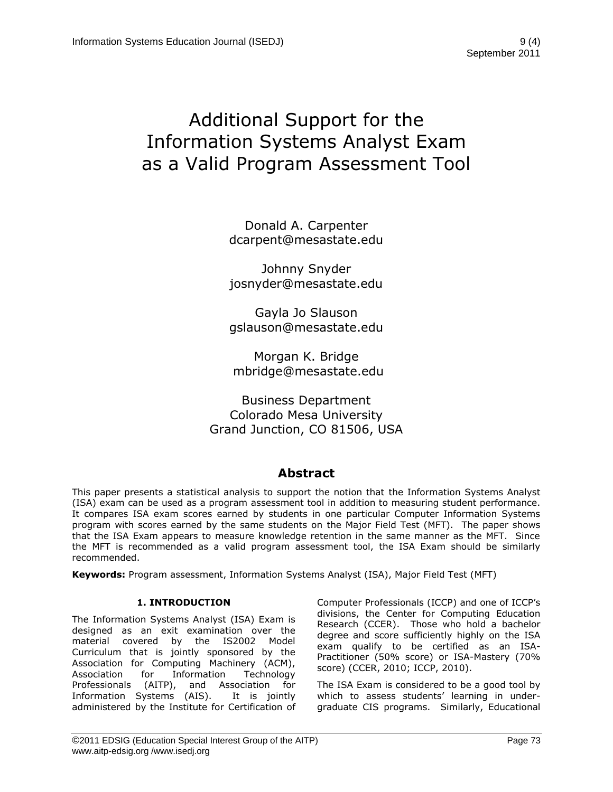# Additional Support for the Information Systems Analyst Exam as a Valid Program Assessment Tool

Donald A. Carpenter dcarpent@mesastate.edu

Johnny Snyder josnyder@mesastate.edu

Gayla Jo Slauson gslauson@mesastate.edu

Morgan K. Bridge [mbridge@mesastate.edu](mailto:mbridge@mesastate.edu)

Business Department Colorado Mesa University Grand Junction, CO 81506, USA

# **Abstract**

This paper presents a statistical analysis to support the notion that the Information Systems Analyst (ISA) exam can be used as a program assessment tool in addition to measuring student performance. It compares ISA exam scores earned by students in one particular Computer Information Systems program with scores earned by the same students on the Major Field Test (MFT). The paper shows that the ISA Exam appears to measure knowledge retention in the same manner as the MFT. Since the MFT is recommended as a valid program assessment tool, the ISA Exam should be similarly recommended.

**Keywords:** Program assessment, Information Systems Analyst (ISA), Major Field Test (MFT)

## **1. INTRODUCTION**

The Information Systems Analyst (ISA) Exam is designed as an exit examination over the material covered by the IS2002 Model Curriculum that is jointly sponsored by the Association for Computing Machinery (ACM), Association for Information Technology Professionals (AITP), and Association for Information Systems (AIS). It is jointly administered by the Institute for Certification of Computer Professionals (ICCP) and one of ICCP's divisions, the Center for Computing Education Research (CCER). Those who hold a bachelor degree and score sufficiently highly on the ISA exam qualify to be certified as an ISA-Practitioner (50% score) or ISA-Mastery (70% score) (CCER, 2010; ICCP, 2010).

The ISA Exam is considered to be a good tool by which to assess students' learning in undergraduate CIS programs. Similarly, Educational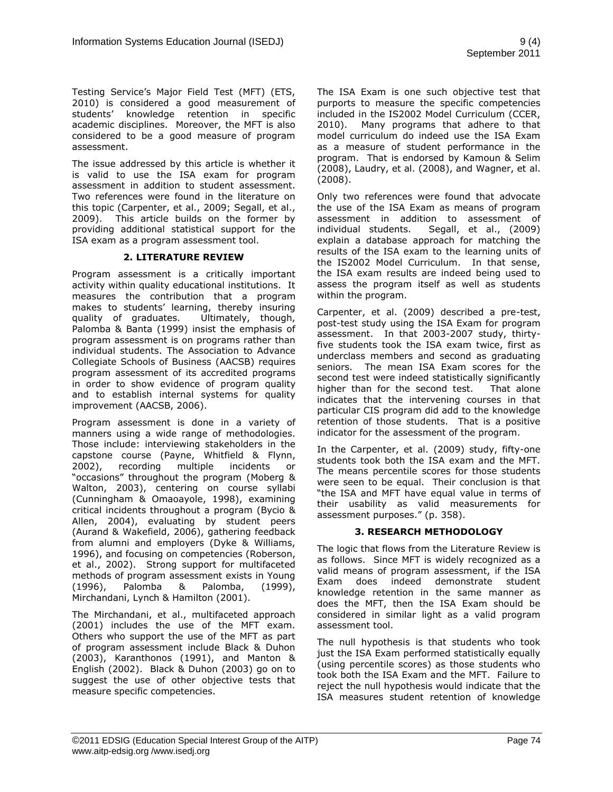Testing Service's Major Field Test (MFT) (ETS, 2010) is considered a good measurement of students' knowledge retention in specific academic disciplines. Moreover, the MFT is also considered to be a good measure of program assessment.

The issue addressed by this article is whether it is valid to use the ISA exam for program assessment in addition to student assessment. Two references were found in the literature on this topic (Carpenter, et al., 2009; Segall, et al., 2009). This article builds on the former by providing additional statistical support for the ISA exam as a program assessment tool.

#### **2. LITERATURE REVIEW**

Program assessment is a critically important activity within quality educational institutions. It measures the contribution that a program makes to students' learning, thereby insuring quality of graduates. Ultimately, though, Palomba & Banta (1999) insist the emphasis of program assessment is on programs rather than individual students. The Association to Advance Collegiate Schools of Business (AACSB) requires program assessment of its accredited programs in order to show evidence of program quality and to establish internal systems for quality improvement (AACSB, 2006).

Program assessment is done in a variety of manners using a wide range of methodologies. Those include: interviewing stakeholders in the capstone course (Payne, Whitfield & Flynn, 2002), recording multiple incidents or "occasions" throughout the program (Moberg & Walton, 2003), centering on course syllabi (Cunningham & Omaoayole, 1998), examining critical incidents throughout a program (Bycio & Allen, 2004), evaluating by student peers (Aurand & Wakefield, 2006), gathering feedback from alumni and employers (Dyke & Williams, 1996), and focusing on competencies (Roberson, et al., 2002). Strong support for multifaceted methods of program assessment exists in Young (1996), Palomba & Palomba, (1999), Mirchandani, Lynch & Hamilton (2001).

The Mirchandani, et al., multifaceted approach (2001) includes the use of the MFT exam. Others who support the use of the MFT as part of program assessment include Black & Duhon (2003), Karanthonos (1991), and Manton & English (2002). Black & Duhon (2003) go on to suggest the use of other objective tests that measure specific competencies.

The ISA Exam is one such objective test that purports to measure the specific competencies included in the IS2002 Model Curriculum (CCER, 2010). Many programs that adhere to that model curriculum do indeed use the ISA Exam as a measure of student performance in the program. That is endorsed by Kamoun & Selim (2008), Laudry, et al. (2008), and Wagner, et al. (2008).

Only two references were found that advocate the use of the ISA Exam as means of program assessment in addition to assessment of individual students. Segall, et al., (2009) explain a database approach for matching the results of the ISA exam to the learning units of the IS2002 Model Curriculum. In that sense, the ISA exam results are indeed being used to assess the program itself as well as students within the program.

Carpenter, et al. (2009) described a pre-test, post-test study using the ISA Exam for program assessment. In that 2003-2007 study, thirtyfive students took the ISA exam twice, first as underclass members and second as graduating seniors. The mean ISA Exam scores for the second test were indeed statistically significantly higher than for the second test. That alone indicates that the intervening courses in that particular CIS program did add to the knowledge retention of those students. That is a positive indicator for the assessment of the program.

In the Carpenter, et al. (2009) study, fifty-one students took both the ISA exam and the MFT. The means percentile scores for those students were seen to be equal. Their conclusion is that "the ISA and MFT have equal value in terms of their usability as valid measurements for assessment purposes." (p. 358).

## **3. RESEARCH METHODOLOGY**

The logic that flows from the Literature Review is as follows. Since MFT is widely recognized as a valid means of program assessment, if the ISA Exam does indeed demonstrate student knowledge retention in the same manner as does the MFT, then the ISA Exam should be considered in similar light as a valid program assessment tool.

The null hypothesis is that students who took just the ISA Exam performed statistically equally (using percentile scores) as those students who took both the ISA Exam and the MFT. Failure to reject the null hypothesis would indicate that the ISA measures student retention of knowledge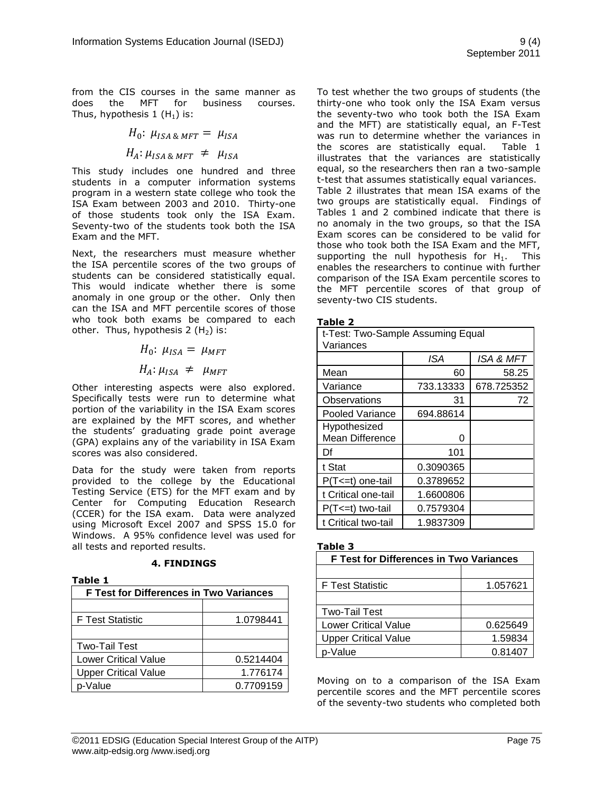from the CIS courses in the same manner as does the MFT for business courses. Thus, hypothesis  $1(H_1)$  is:

> $H_0$ :  $\mu_{ISABMFT} = \mu_{ISA}$  $H_A: \mu_{ISA\&MFT} \neq \mu_{ISA}$

This study includes one hundred and three students in a computer information systems program in a western state college who took the ISA Exam between 2003 and 2010. Thirty-one of those students took only the ISA Exam. Seventy-two of the students took both the ISA Exam and the MFT.

Next, the researchers must measure whether the ISA percentile scores of the two groups of students can be considered statistically equal. This would indicate whether there is some anomaly in one group or the other. Only then can the ISA and MFT percentile scores of those who took both exams be compared to each other. Thus, hypothesis  $2(H_2)$  is:

$$
H_0: \mu_{ISA} = \mu_{MFT}
$$
  

$$
H_A: \mu_{ISA} \neq \mu_{MFT}
$$

Other interesting aspects were also explored. Specifically tests were run to determine what portion of the variability in the ISA Exam scores are explained by the MFT scores, and whether the students' graduating grade point average (GPA) explains any of the variability in ISA Exam scores was also considered.

Data for the study were taken from reports provided to the college by the Educational Testing Service (ETS) for the MFT exam and by Center for Computing Education Research (CCER) for the ISA exam. Data were analyzed using Microsoft Excel 2007 and SPSS 15.0 for Windows. A 95% confidence level was used for all tests and reported results.

**4. FINDINGS**

| abl |  |
|-----|--|
|     |  |

| <b>F Test for Differences in Two Variances</b> |           |  |
|------------------------------------------------|-----------|--|
|                                                |           |  |
| <b>F Test Statistic</b>                        | 1.0798441 |  |
|                                                |           |  |
| <b>Two-Tail Test</b>                           |           |  |
| <b>Lower Critical Value</b>                    | 0.5214404 |  |
| <b>Upper Critical Value</b>                    | 1.776174  |  |
| p-Value                                        | 0.7709159 |  |

To test whether the two groups of students (the thirty-one who took only the ISA Exam versus the seventy-two who took both the ISA Exam and the MFT) are statistically equal, an F-Test was run to determine whether the variances in the scores are statistically equal. Table 1 illustrates that the variances are statistically equal, so the researchers then ran a two-sample t-test that assumes statistically equal variances. Table 2 illustrates that mean ISA exams of the two groups are statistically equal. Findings of Tables 1 and 2 combined indicate that there is no anomaly in the two groups, so that the ISA Exam scores can be considered to be valid for those who took both the ISA Exam and the MFT, supporting the null hypothesis for  $H_1$ . This enables the researchers to continue with further comparison of the ISA Exam percentile scores to the MFT percentile scores of that group of seventy-two CIS students.

#### **Table 2**

| t-Test: Two-Sample Assuming Equal<br>Variances |           |            |  |  |
|------------------------------------------------|-----------|------------|--|--|
|                                                | ISA       | ISA & MFT  |  |  |
| Mean                                           | 60        | 58.25      |  |  |
| Variance                                       | 733.13333 | 678.725352 |  |  |
| Observations                                   | 31        | 72         |  |  |
| <b>Pooled Variance</b>                         | 694.88614 |            |  |  |
| Hypothesized<br><b>Mean Difference</b>         | O         |            |  |  |
| Df                                             | 101       |            |  |  |
| t Stat                                         | 0.3090365 |            |  |  |
| $P(T \le t)$ one-tail                          | 0.3789652 |            |  |  |
| t Critical one-tail                            | 1.6600806 |            |  |  |
| $P(T \le t)$ two-tail                          | 0.7579304 |            |  |  |
| t Critical two-tail                            | 1.9837309 |            |  |  |

#### **Table 3**

| <b>F Test for Differences in Two Variances</b> |          |  |
|------------------------------------------------|----------|--|
|                                                |          |  |
| <b>F</b> Test Statistic                        | 1.057621 |  |
|                                                |          |  |
| <b>Two-Tail Test</b>                           |          |  |
| <b>Lower Critical Value</b>                    | 0.625649 |  |
| <b>Upper Critical Value</b>                    | 1.59834  |  |
| p-Value                                        | 0.81407  |  |

Moving on to a comparison of the ISA Exam percentile scores and the MFT percentile scores of the seventy-two students who completed both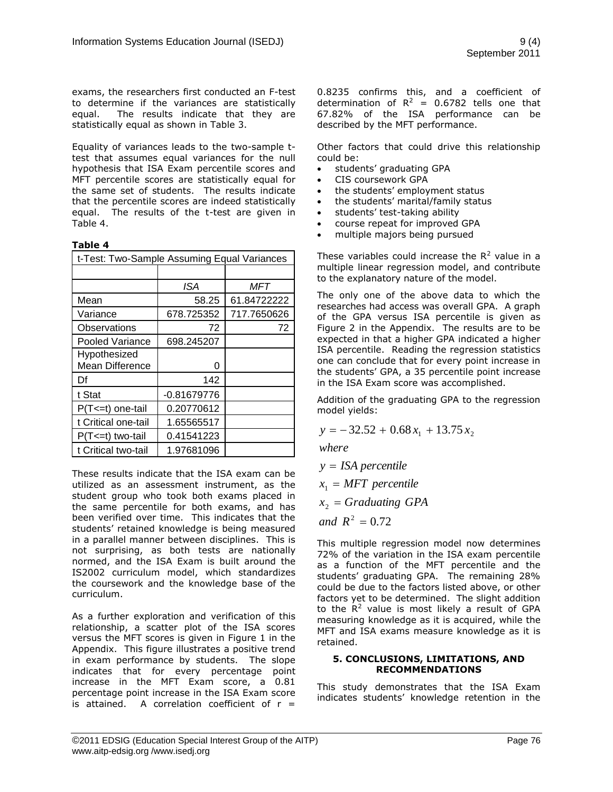exams, the researchers first conducted an F-test to determine if the variances are statistically equal. The results indicate that they are statistically equal as shown in Table 3.

Equality of variances leads to the two-sample ttest that assumes equal variances for the null hypothesis that ISA Exam percentile scores and MFT percentile scores are statistically equal for the same set of students. The results indicate that the percentile scores are indeed statistically equal. The results of the t-test are given in Table 4.

#### **Table 4**

| t-Test: Two-Sample Assuming Equal Variances |               |             |
|---------------------------------------------|---------------|-------------|
|                                             |               |             |
|                                             | ISA           | MFT         |
| Mean                                        | 58.25         | 61.84722222 |
| Variance                                    | 678.725352    | 717.7650626 |
| Observations                                | 72            | 72          |
| Pooled Variance                             | 698.245207    |             |
| Hypothesized                                |               |             |
| Mean Difference                             | O             |             |
| Df                                          | 142           |             |
| t Stat                                      | $-0.81679776$ |             |
| P(T<=t) one-tail                            | 0.20770612    |             |
| t Critical one-tail                         | 1.65565517    |             |
| $P(T \le t)$ two-tail                       | 0.41541223    |             |
| t Critical two-tail                         | 1.97681096    |             |

These results indicate that the ISA exam can be utilized as an assessment instrument, as the student group who took both exams placed in the same percentile for both exams, and has been verified over time. This indicates that the students' retained knowledge is being measured in a parallel manner between disciplines. This is not surprising, as both tests are nationally normed, and the ISA Exam is built around the IS2002 curriculum model, which standardizes the coursework and the knowledge base of the curriculum.

As a further exploration and verification of this relationship, a scatter plot of the ISA scores versus the MFT scores is given in Figure 1 in the Appendix. This figure illustrates a positive trend in exam performance by students. The slope indicates that for every percentage point increase in the MFT Exam score, a 0.81 percentage point increase in the ISA Exam score is attained. A correlation coefficient of  $r =$  0.8235 confirms this, and a coefficient of determination of  $R^2 = 0.6782$  tells one that 67.82% of the ISA performance can be described by the MFT performance.

Other factors that could drive this relationship could be:

- students' graduating GPA
- CIS coursework GPA
- the students' employment status
- the students' marital/family status
- students' test-taking ability
- course repeat for improved GPA
- multiple majors being pursued

These variables could increase the  $R^2$  value in a multiple linear regression model, and contribute to the explanatory nature of the model.

The only one of the above data to which the researches had access was overall GPA. A graph of the GPA versus ISA percentile is given as Figure 2 in the Appendix. The results are to be expected in that a higher GPA indicated a higher ISA percentile. Reading the regression statistics one can conclude that for every point increase in the students' GPA, a 35 percentile point increase in the ISA Exam score was accomplished.

Addition of the graduating GPA to the regression model yields:

 $y = -32.52 + 0.68 x_1 + 13.75 x_2$ 

*where*

*y ISA percentile*

 $x_1 = MFT$  *percentile* 

 $x_2$  = Graduating GPA

*and*  $R^2 = 0.72$ 

This multiple regression model now determines 72% of the variation in the ISA exam percentile as a function of the MFT percentile and the students' graduating GPA. The remaining 28% could be due to the factors listed above, or other factors yet to be determined. The slight addition to the  $R^2$  value is most likely a result of GPA measuring knowledge as it is acquired, while the MFT and ISA exams measure knowledge as it is retained.

#### **5. CONCLUSIONS, LIMITATIONS, AND RECOMMENDATIONS**

This study demonstrates that the ISA Exam indicates students' knowledge retention in the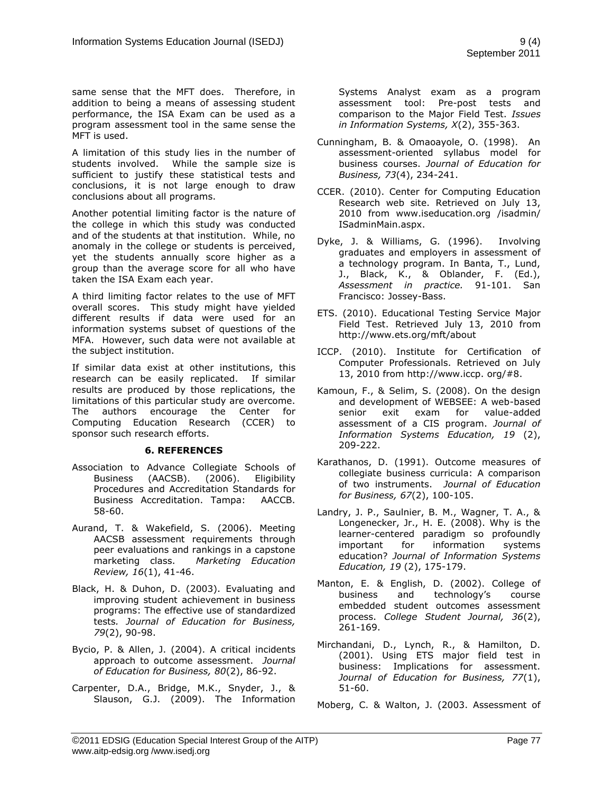same sense that the MFT does. Therefore, in addition to being a means of assessing student performance, the ISA Exam can be used as a program assessment tool in the same sense the MFT is used.

A limitation of this study lies in the number of students involved. While the sample size is sufficient to justify these statistical tests and conclusions, it is not large enough to draw conclusions about all programs.

Another potential limiting factor is the nature of the college in which this study was conducted and of the students at that institution. While, no anomaly in the college or students is perceived, yet the students annually score higher as a group than the average score for all who have taken the ISA Exam each year.

A third limiting factor relates to the use of MFT overall scores. This study might have yielded different results if data were used for an information systems subset of questions of the MFA. However, such data were not available at the subject institution.

If similar data exist at other institutions, this research can be easily replicated. If similar results are produced by those replications, the limitations of this particular study are overcome. The authors encourage the Center for Computing Education Research (CCER) to sponsor such research efforts.

#### **6. REFERENCES**

- Association to Advance Collegiate Schools of Business (AACSB). (2006). Eligibility Procedures and Accreditation Standards for Business Accreditation. Tampa: AACCB. 58-60.
- Aurand, T. & Wakefield, S. (2006). Meeting AACSB assessment requirements through peer evaluations and rankings in a capstone marketing class. *Marketing Education Review, 16*(1), 41-46.
- Black, H. & Duhon, D. (2003). Evaluating and improving student achievement in business programs: The effective use of standardized tests*. Journal of Education for Business, 79*(2), 90-98.
- Bycio, P. & Allen, J. (2004). A critical incidents approach to outcome assessment. *Journal of Education for Business, 80*(2), 86-92.
- Carpenter, D.A., Bridge, M.K., Snyder, J., & Slauson, G.J. (2009). The Information

Systems Analyst exam as a program assessment tool: Pre-post tests and comparison to the Major Field Test. *Issues in Information Systems, X*(2), 355-363.

- Cunningham, B. & Omaoayole, O. (1998). An assessment-oriented syllabus model for business courses. *Journal of Education for Business, 73*(4), 234-241.
- CCER. (2010). Center for Computing Education Research web site. Retrieved on July 13, 2010 from www.iseducation.org /isadmin/ ISadminMain.aspx.
- Dyke, J. & Williams, G. (1996). Involving graduates and employers in assessment of a technology program. In Banta, T., Lund, J., Black, K., & Oblander, F. (Ed.), *Assessment in practice.* 91-101. San Francisco: Jossey-Bass.
- ETS. (2010). Educational Testing Service Major Field Test. Retrieved July 13, 2010 from http://www.ets.org/mft/about
- ICCP. (2010). Institute for Certification of Computer Professionals. Retrieved on July 13, 2010 from http://www.iccp. org/#8.
- Kamoun, F., & Selim, S. (2008). On the design and development of WEBSEE: A web-based senior exit exam for value-added assessment of a CIS program. *Journal of Information Systems Education, 19* (2), 209-222.
- Karathanos, D. (1991). Outcome measures of collegiate business curricula: A comparison of two instruments. *Journal of Education for Business, 67*(2), 100-105.
- Landry, J. P., Saulnier, B. M., Wagner, T. A., & Longenecker, Jr., H. E. (2008). Why is the learner-centered paradigm so profoundly important for information systems education? *Journal of Information Systems Education, 19* (2), 175-179.
- Manton, E. & English, D. (2002). College of business and technology's course embedded student outcomes assessment process. *College Student Journal, 36*(2), 261-169.
- Mirchandani, D., Lynch, R., & Hamilton, D. (2001). Using ETS major field test in business: Implications for assessment. *Journal of Education for Business, 77*(1), 51-60.

Moberg, C. & Walton, J. (2003. Assessment of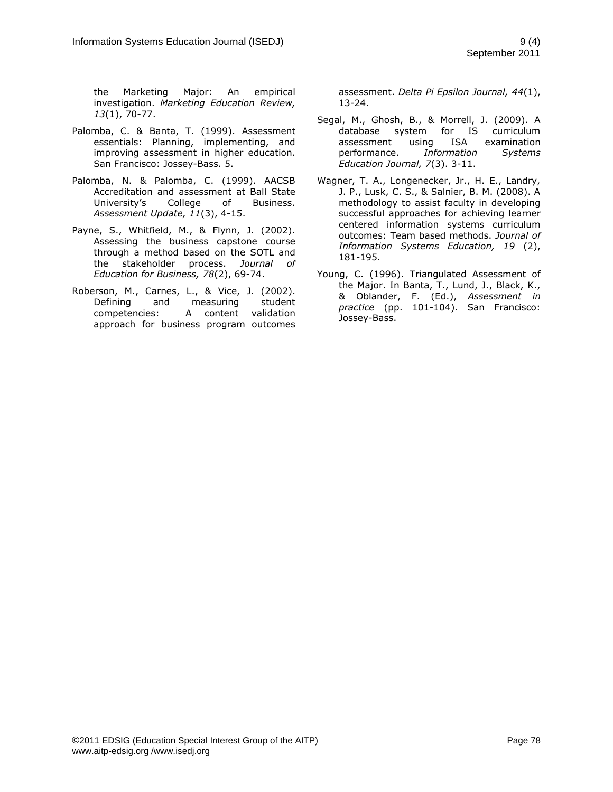the Marketing Major: An empirical investigation. *Marketing Education Review, 13*(1), 70-77.

- Palomba, C. & Banta, T. (1999). Assessment essentials: Planning, implementing, and improving assessment in higher education. San Francisco: Jossey-Bass. 5.
- Palomba, N. & Palomba, C. (1999). AACSB Accreditation and assessment at Ball State University's College of Business. *Assessment Update, 11*(3), 4-15.
- Payne, S., Whitfield, M., & Flynn, J. (2002). Assessing the business capstone course through a method based on the SOTL and the stakeholder process. *Journal of Education for Business, 78*(2), 69-74.
- Roberson, M., Carnes, L., & Vice, J. (2002). Defining and measuring student competencies: A content validation approach for business program outcomes

assessment. *Delta Pi Epsilon Journal, 44*(1), 13-24.

- Segal, M., Ghosh, B., & Morrell, J. (2009). A database system for IS curriculum assessment using ISA examination performance. *Information Systems Education Journal, 7*(3). 3-11.
- Wagner, T. A., Longenecker, Jr., H. E., Landry, J. P., Lusk, C. S., & Salnier, B. M. (2008). A methodology to assist faculty in developing successful approaches for achieving learner centered information systems curriculum outcomes: Team based methods. *Journal of Information Systems Education, 19* (2), 181-195.
- Young, C. (1996). Triangulated Assessment of the Major. In Banta, T., Lund, J., Black, K., & Oblander, F. (Ed.), *Assessment in practice* (pp. 101-104). San Francisco: Jossey-Bass.